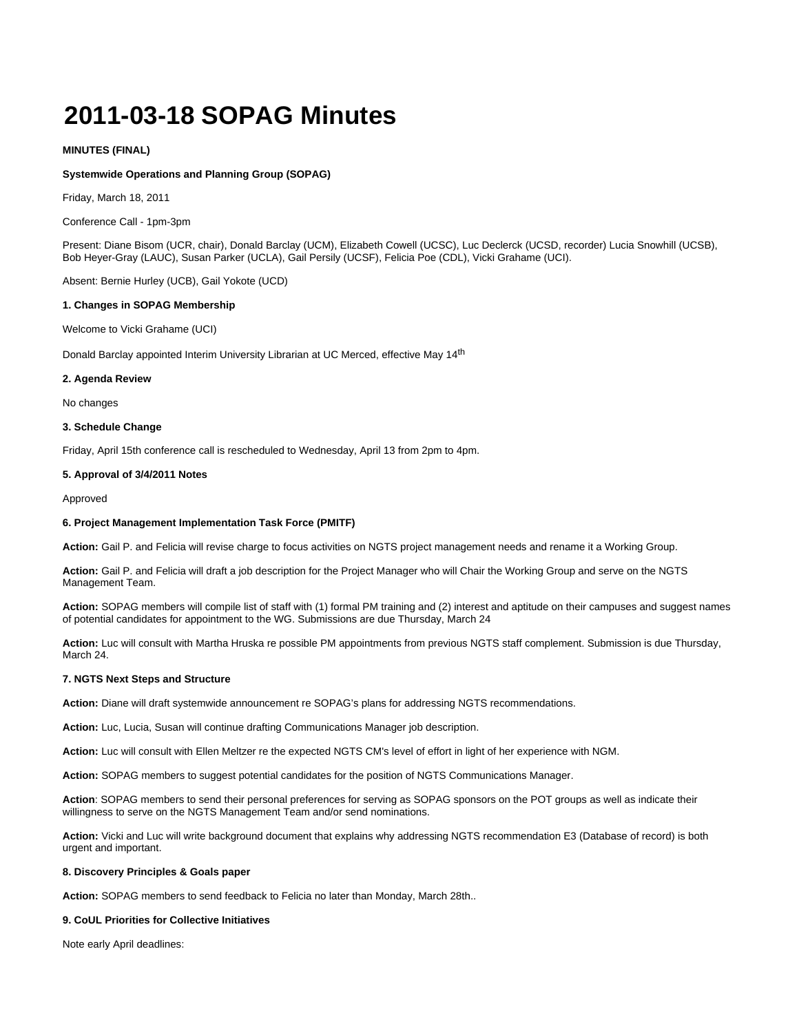# **2011-03-18 SOPAG Minutes**

## **MINUTES (FINAL)**

#### **Systemwide Operations and Planning Group (SOPAG)**

Friday, March 18, 2011

Conference Call - 1pm-3pm

Present: Diane Bisom (UCR, chair), Donald Barclay (UCM), Elizabeth Cowell (UCSC), Luc Declerck (UCSD, recorder) Lucia Snowhill (UCSB), Bob Heyer-Gray (LAUC), Susan Parker (UCLA), Gail Persily (UCSF), Felicia Poe (CDL), Vicki Grahame (UCI).

Absent: Bernie Hurley (UCB), Gail Yokote (UCD)

#### **1. Changes in SOPAG Membership**

Welcome to Vicki Grahame (UCI)

Donald Barclay appointed Interim University Librarian at UC Merced, effective May 14<sup>th</sup>

#### **2. Agenda Review**

No changes

#### **3. Schedule Change**

Friday, April 15th conference call is rescheduled to Wednesday, April 13 from 2pm to 4pm.

#### **5. Approval of 3/4/2011 Notes**

Approved

#### **6. Project Management Implementation Task Force (PMITF)**

**Action:** Gail P. and Felicia will revise charge to focus activities on NGTS project management needs and rename it a Working Group.

**Action:** Gail P. and Felicia will draft a job description for the Project Manager who will Chair the Working Group and serve on the NGTS Management Team.

**Action:** SOPAG members will compile list of staff with (1) formal PM training and (2) interest and aptitude on their campuses and suggest names of potential candidates for appointment to the WG. Submissions are due Thursday, March 24

**Action:** Luc will consult with Martha Hruska re possible PM appointments from previous NGTS staff complement. Submission is due Thursday, March 24.

## **7. NGTS Next Steps and Structure**

**Action:** Diane will draft systemwide announcement re SOPAG's plans for addressing NGTS recommendations.

**Action:** Luc, Lucia, Susan will continue drafting Communications Manager job description.

**Action:** Luc will consult with Ellen Meltzer re the expected NGTS CM's level of effort in light of her experience with NGM.

**Action:** SOPAG members to suggest potential candidates for the position of NGTS Communications Manager.

**Action**: SOPAG members to send their personal preferences for serving as SOPAG sponsors on the POT groups as well as indicate their willingness to serve on the NGTS Management Team and/or send nominations.

**Action:** Vicki and Luc will write background document that explains why addressing NGTS recommendation E3 (Database of record) is both urgent and important.

#### **8. Discovery Principles & Goals paper**

**Action:** SOPAG members to send feedback to Felicia no later than Monday, March 28th..

## **9. CoUL Priorities for Collective Initiatives**

Note early April deadlines: